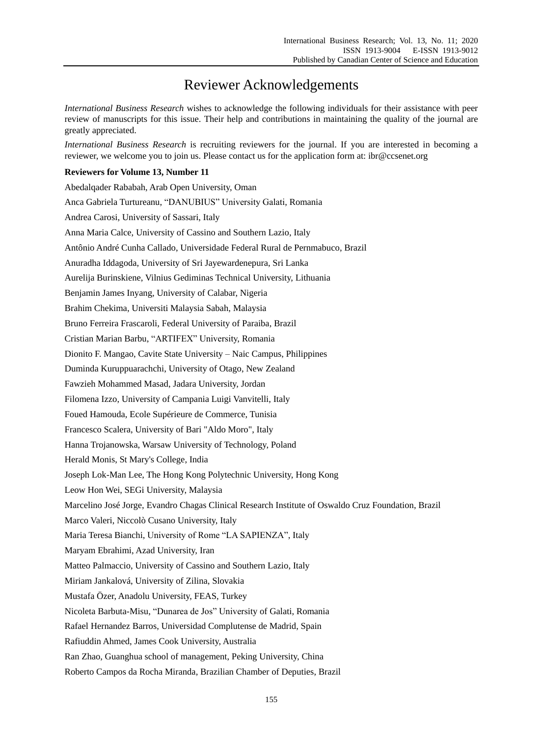## Reviewer Acknowledgements

*International Business Research* wishes to acknowledge the following individuals for their assistance with peer review of manuscripts for this issue. Their help and contributions in maintaining the quality of the journal are greatly appreciated.

*International Business Research* is recruiting reviewers for the journal. If you are interested in becoming a reviewer, we welcome you to join us. Please contact us for the application form at: ibr@ccsenet.org

## **Reviewers for Volume 13, Number 11**

| Abedalqader Rababah, Arab Open University, Oman                                                      |
|------------------------------------------------------------------------------------------------------|
| Anca Gabriela Turtureanu, "DANUBIUS" University Galati, Romania                                      |
| Andrea Carosi, University of Sassari, Italy                                                          |
| Anna Maria Calce, University of Cassino and Southern Lazio, Italy                                    |
| Antônio André Cunha Callado, Universidade Federal Rural de Pernmabuco, Brazil                        |
| Anuradha Iddagoda, University of Sri Jayewardenepura, Sri Lanka                                      |
| Aurelija Burinskiene, Vilnius Gediminas Technical University, Lithuania                              |
| Benjamin James Inyang, University of Calabar, Nigeria                                                |
| Brahim Chekima, Universiti Malaysia Sabah, Malaysia                                                  |
| Bruno Ferreira Frascaroli, Federal University of Paraiba, Brazil                                     |
| Cristian Marian Barbu, "ARTIFEX" University, Romania                                                 |
| Dionito F. Mangao, Cavite State University - Naic Campus, Philippines                                |
| Duminda Kuruppuarachchi, University of Otago, New Zealand                                            |
| Fawzieh Mohammed Masad, Jadara University, Jordan                                                    |
| Filomena Izzo, University of Campania Luigi Vanvitelli, Italy                                        |
| Foued Hamouda, Ecole Supérieure de Commerce, Tunisia                                                 |
| Francesco Scalera, University of Bari "Aldo Moro", Italy                                             |
| Hanna Trojanowska, Warsaw University of Technology, Poland                                           |
| Herald Monis, St Mary's College, India                                                               |
| Joseph Lok-Man Lee, The Hong Kong Polytechnic University, Hong Kong                                  |
| Leow Hon Wei, SEGi University, Malaysia                                                              |
| Marcelino Jos é Jorge, Evandro Chagas Clinical Research Institute of Oswaldo Cruz Foundation, Brazil |
| Marco Valeri, Niccol ò Cusano University, Italy                                                      |
| Maria Teresa Bianchi, University of Rome "LA SAPIENZA", Italy                                        |
| Maryam Ebrahimi, Azad University, Iran                                                               |
| Matteo Palmaccio, University of Cassino and Southern Lazio, Italy                                    |
| Miriam Jankalov á University of Zilina, Slovakia                                                     |
| Mustafa Özer, Anadolu University, FEAS, Turkey                                                       |
| Nicoleta Barbuta-Misu, "Dunarea de Jos" University of Galati, Romania                                |
| Rafael Hernandez Barros, Universidad Complutense de Madrid, Spain                                    |
| Rafiuddin Ahmed, James Cook University, Australia                                                    |
| Ran Zhao, Guanghua school of management, Peking University, China                                    |
| Roberto Campos da Rocha Miranda, Brazilian Chamber of Deputies, Brazil                               |